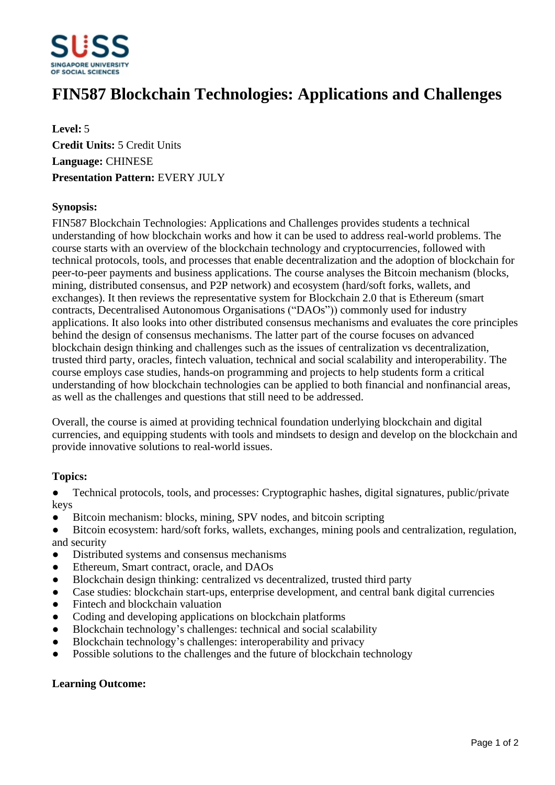

# **FIN587 Blockchain Technologies: Applications and Challenges**

**Level:** 5 **Credit Units:** 5 Credit Units **Language:** CHINESE **Presentation Pattern:** EVERY JULY

### **Synopsis:**

FIN587 Blockchain Technologies: Applications and Challenges provides students a technical understanding of how blockchain works and how it can be used to address real-world problems. The course starts with an overview of the blockchain technology and cryptocurrencies, followed with technical protocols, tools, and processes that enable decentralization and the adoption of blockchain for peer-to-peer payments and business applications. The course analyses the Bitcoin mechanism (blocks, mining, distributed consensus, and P2P network) and ecosystem (hard/soft forks, wallets, and exchanges). It then reviews the representative system for Blockchain 2.0 that is Ethereum (smart contracts, Decentralised Autonomous Organisations ("DAOs")) commonly used for industry applications. It also looks into other distributed consensus mechanisms and evaluates the core principles behind the design of consensus mechanisms. The latter part of the course focuses on advanced blockchain design thinking and challenges such as the issues of centralization vs decentralization, trusted third party, oracles, fintech valuation, technical and social scalability and interoperability. The course employs case studies, hands-on programming and projects to help students form a critical understanding of how blockchain technologies can be applied to both financial and nonfinancial areas, as well as the challenges and questions that still need to be addressed.

Overall, the course is aimed at providing technical foundation underlying blockchain and digital currencies, and equipping students with tools and mindsets to design and develop on the blockchain and provide innovative solutions to real-world issues.

#### **Topics:**

• Technical protocols, tools, and processes: Cryptographic hashes, digital signatures, public/private keys

- Bitcoin mechanism: blocks, mining, SPV nodes, and bitcoin scripting
- Bitcoin ecosystem: hard/soft forks, wallets, exchanges, mining pools and centralization, regulation, and security
- Distributed systems and consensus mechanisms
- Ethereum, Smart contract, oracle, and DAOs
- Blockchain design thinking: centralized vs decentralized, trusted third party
- Case studies: blockchain start-ups, enterprise development, and central bank digital currencies
- Fintech and blockchain valuation
- Coding and developing applications on blockchain platforms
- Blockchain technology's challenges: technical and social scalability
- Blockchain technology's challenges: interoperability and privacy
- Possible solutions to the challenges and the future of blockchain technology

#### **Learning Outcome:**